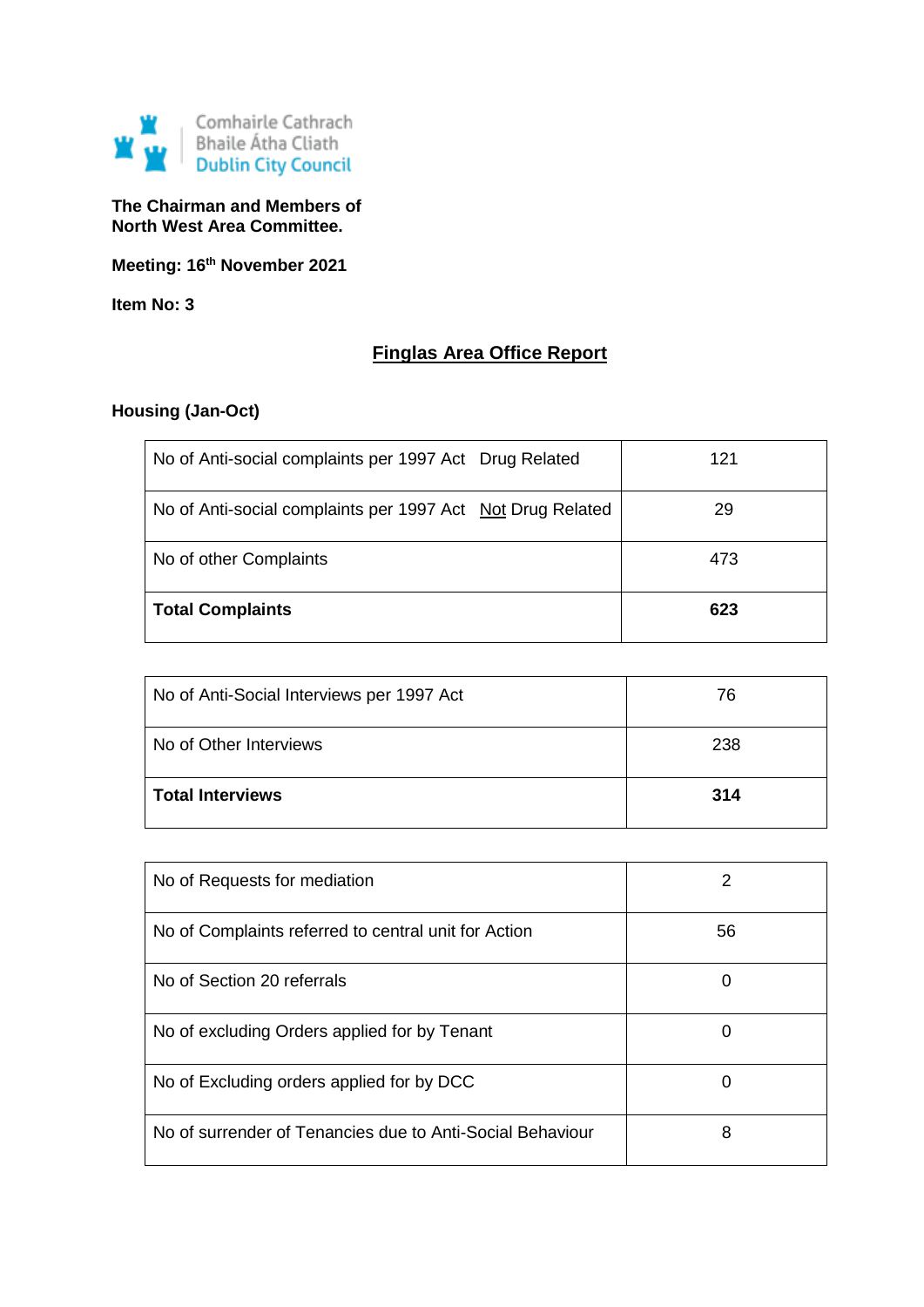

**The Chairman and Members of North West Area Committee.**

**Meeting: 16th November 2021**

**Item No: 3**

# **Finglas Area Office Report**

# **Housing (Jan-Oct)**

| No of Anti-social complaints per 1997 Act Drug Related     | 121 |
|------------------------------------------------------------|-----|
| No of Anti-social complaints per 1997 Act Not Drug Related | 29  |
| No of other Complaints                                     | 473 |
| <b>Total Complaints</b>                                    | 623 |

| No of Anti-Social Interviews per 1997 Act | 76  |
|-------------------------------------------|-----|
| No of Other Interviews                    | 238 |
| <b>Total Interviews</b>                   | 314 |

| No of Requests for mediation                              | 2  |
|-----------------------------------------------------------|----|
| No of Complaints referred to central unit for Action      | 56 |
| No of Section 20 referrals                                | 0  |
| No of excluding Orders applied for by Tenant              | 0  |
| No of Excluding orders applied for by DCC                 | 0  |
| No of surrender of Tenancies due to Anti-Social Behaviour | 8  |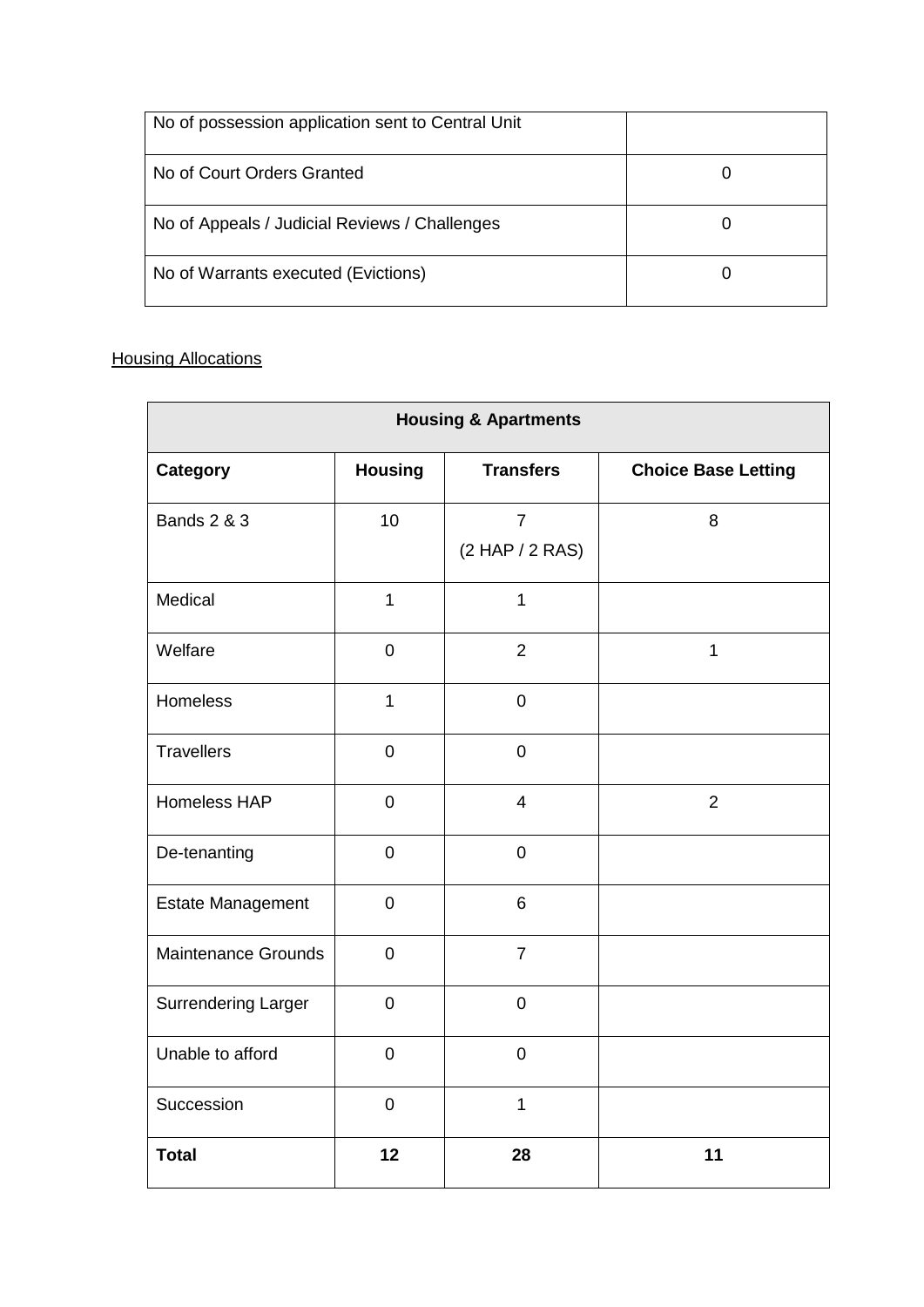| No of possession application sent to Central Unit |  |
|---------------------------------------------------|--|
| No of Court Orders Granted                        |  |
| No of Appeals / Judicial Reviews / Challenges     |  |
| No of Warrants executed (Evictions)               |  |

# **Housing Allocations**

| <b>Housing &amp; Apartments</b> |                |                                   |                            |  |
|---------------------------------|----------------|-----------------------------------|----------------------------|--|
| <b>Category</b>                 | <b>Housing</b> | <b>Transfers</b>                  | <b>Choice Base Letting</b> |  |
| <b>Bands 2 &amp; 3</b>          | 10             | $\overline{7}$<br>(2 HAP / 2 RAS) | 8                          |  |
| Medical                         | $\mathbf{1}$   | $\overline{1}$                    |                            |  |
| Welfare                         | $\mathbf 0$    | $\overline{2}$                    | $\mathbf{1}$               |  |
| Homeless                        | $\mathbf{1}$   | $\mathbf 0$                       |                            |  |
| <b>Travellers</b>               | $\mathbf 0$    | $\overline{0}$                    |                            |  |
| <b>Homeless HAP</b>             | $\mathbf 0$    | $\overline{4}$                    | $\overline{2}$             |  |
| De-tenanting                    | $\mathbf 0$    | $\mathbf 0$                       |                            |  |
| <b>Estate Management</b>        | $\pmb{0}$      | 6                                 |                            |  |
| <b>Maintenance Grounds</b>      | $\mathbf 0$    | $\overline{7}$                    |                            |  |
| <b>Surrendering Larger</b>      | $\mathbf 0$    | $\mathbf 0$                       |                            |  |
| Unable to afford                | $\mathbf 0$    | $\mathbf 0$                       |                            |  |
| Succession                      | $\mathbf 0$    | $\overline{1}$                    |                            |  |
| <b>Total</b>                    | 12             | 28                                | 11                         |  |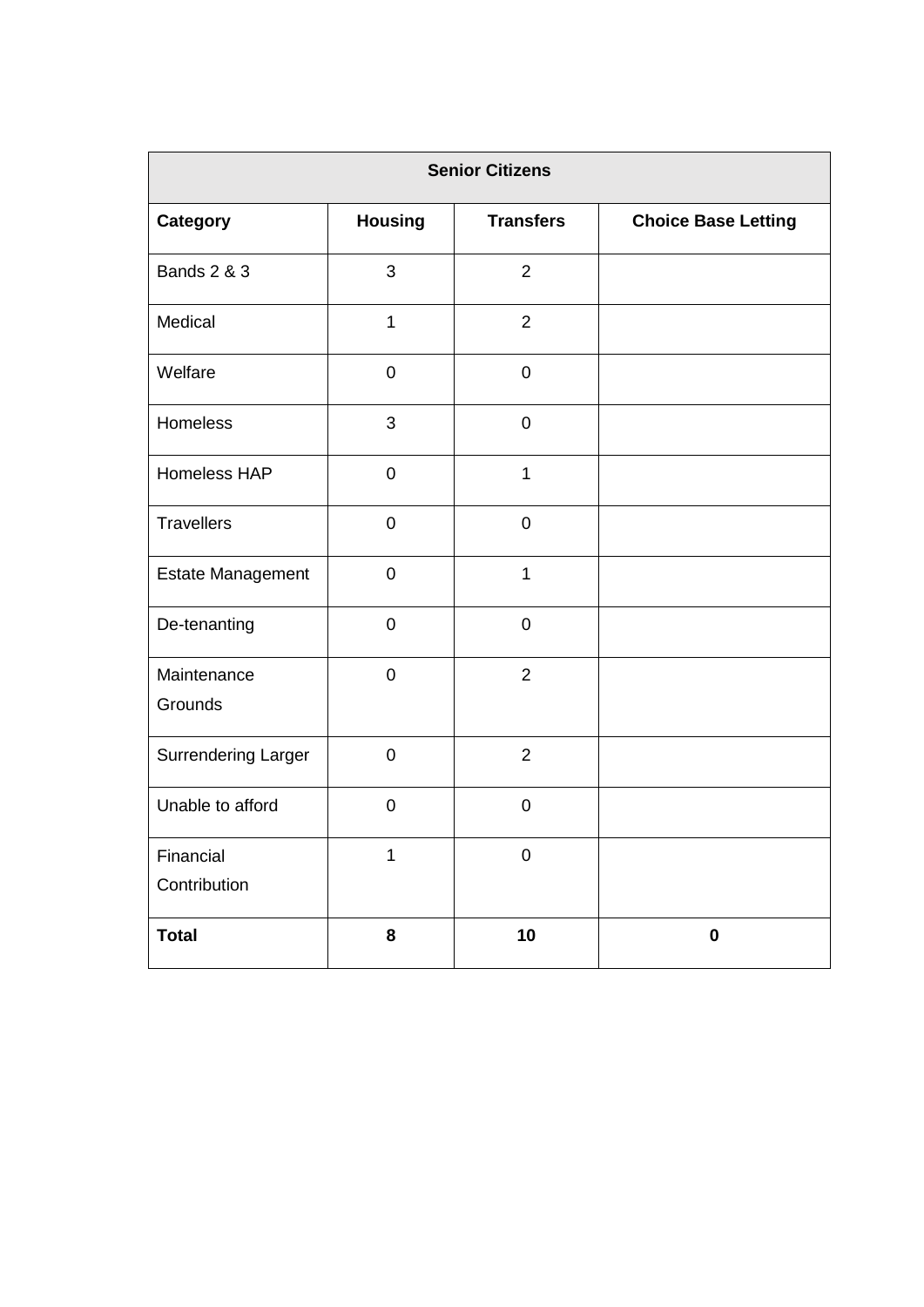| <b>Senior Citizens</b>    |                |                     |                            |
|---------------------------|----------------|---------------------|----------------------------|
| <b>Category</b>           | <b>Housing</b> | <b>Transfers</b>    | <b>Choice Base Letting</b> |
| <b>Bands 2 &amp; 3</b>    | 3              | $\overline{2}$      |                            |
| Medical                   | $\mathbf{1}$   | $\overline{2}$      |                            |
| Welfare                   | $\pmb{0}$      | $\boldsymbol{0}$    |                            |
| Homeless                  | 3              | $\mathbf 0$         |                            |
| Homeless HAP              | $\mathbf 0$    | $\mathbf{1}$        |                            |
| <b>Travellers</b>         | $\mathbf 0$    | $\mathbf 0$         |                            |
| Estate Management         | $\pmb{0}$      | $\mathbf{1}$        |                            |
| De-tenanting              | $\mathbf 0$    | $\mathbf 0$         |                            |
| Maintenance<br>Grounds    | $\mathbf 0$    | $\overline{2}$      |                            |
| Surrendering Larger       | $\mathbf 0$    | $\overline{2}$      |                            |
| Unable to afford          | $\mathbf 0$    | $\mathbf 0$         |                            |
| Financial<br>Contribution | 1              | $\mathsf{O}\xspace$ |                            |
| <b>Total</b>              | 8              | 10                  | $\pmb{0}$                  |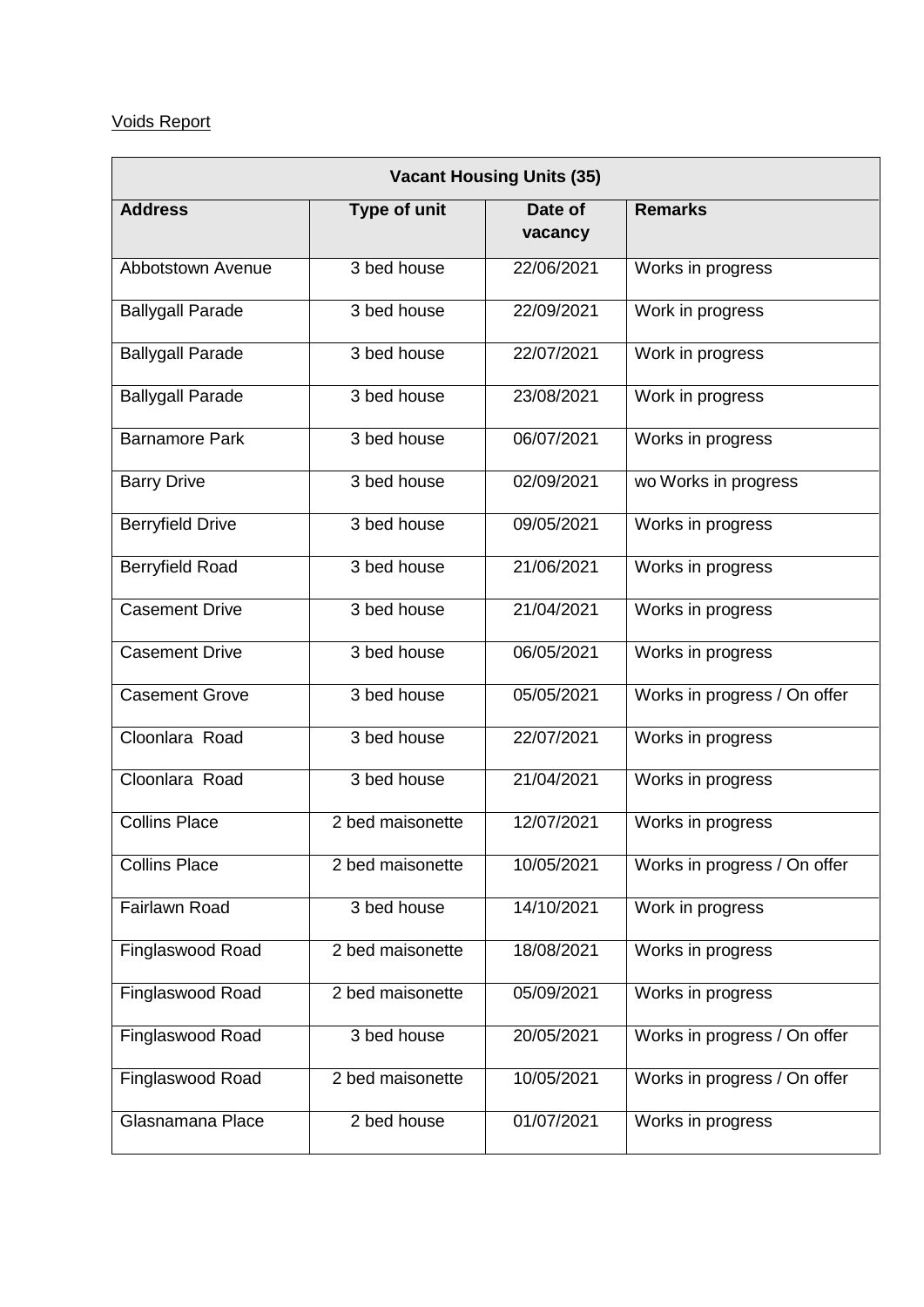# Voids Report

| <b>Vacant Housing Units (35)</b> |                  |                    |                              |
|----------------------------------|------------------|--------------------|------------------------------|
| <b>Address</b>                   | Type of unit     | Date of<br>vacancy | <b>Remarks</b>               |
| Abbotstown Avenue                | 3 bed house      | 22/06/2021         | Works in progress            |
| <b>Ballygall Parade</b>          | 3 bed house      | 22/09/2021         | Work in progress             |
| <b>Ballygall Parade</b>          | 3 bed house      | 22/07/2021         | Work in progress             |
| <b>Ballygall Parade</b>          | 3 bed house      | 23/08/2021         | Work in progress             |
| <b>Barnamore Park</b>            | 3 bed house      | 06/07/2021         | Works in progress            |
| <b>Barry Drive</b>               | 3 bed house      | 02/09/2021         | wo Works in progress         |
| <b>Berryfield Drive</b>          | $3$ bed house    | 09/05/2021         | Works in progress            |
| <b>Berryfield Road</b>           | 3 bed house      | 21/06/2021         | Works in progress            |
| <b>Casement Drive</b>            | 3 bed house      | 21/04/2021         | Works in progress            |
| <b>Casement Drive</b>            | 3 bed house      | 06/05/2021         | Works in progress            |
| <b>Casement Grove</b>            | 3 bed house      | 05/05/2021         | Works in progress / On offer |
| Cloonlara Road                   | 3 bed house      | 22/07/2021         | Works in progress            |
| Cloonlara Road                   | 3 bed house      | 21/04/2021         | Works in progress            |
| <b>Collins Place</b>             | 2 bed maisonette | 12/07/2021         | Works in progress            |
| <b>Collins Place</b>             | 2 bed maisonette | 10/05/2021         | Works in progress / On offer |
| <b>Fairlawn Road</b>             | 3 bed house      | 14/10/2021         | Work in progress             |
| Finglaswood Road                 | 2 bed maisonette | 18/08/2021         | Works in progress            |
| Finglaswood Road                 | 2 bed maisonette | 05/09/2021         | Works in progress            |
| Finglaswood Road                 | 3 bed house      | 20/05/2021         | Works in progress / On offer |
| Finglaswood Road                 | 2 bed maisonette | 10/05/2021         | Works in progress / On offer |
| Glasnamana Place                 | 2 bed house      | 01/07/2021         | Works in progress            |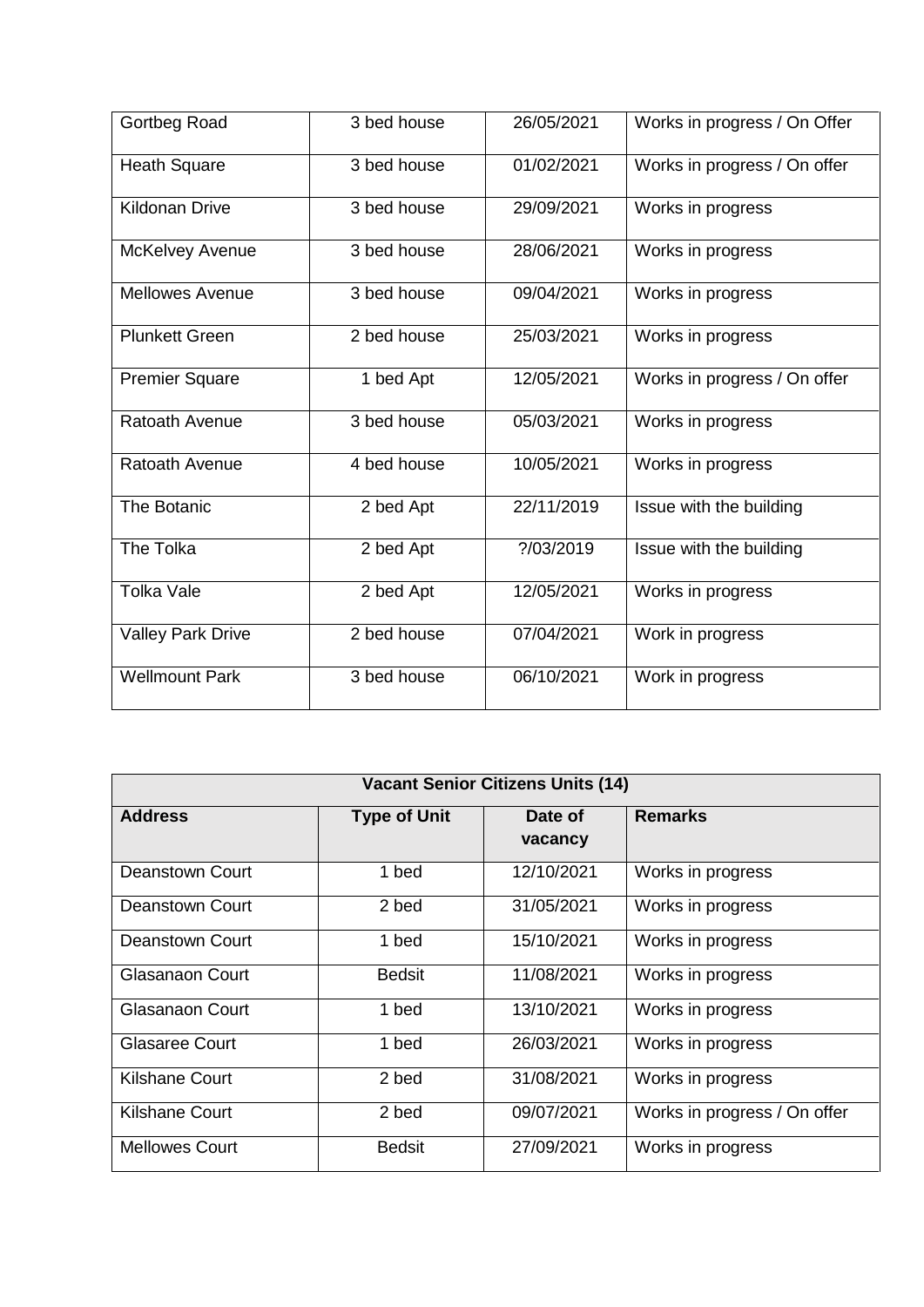| Gortbeg Road             | 3 bed house | 26/05/2021 | Works in progress / On Offer |
|--------------------------|-------------|------------|------------------------------|
| <b>Heath Square</b>      | 3 bed house | 01/02/2021 | Works in progress / On offer |
| <b>Kildonan Drive</b>    | 3 bed house | 29/09/2021 | Works in progress            |
| McKelvey Avenue          | 3 bed house | 28/06/2021 | Works in progress            |
| <b>Mellowes Avenue</b>   | 3 bed house | 09/04/2021 | Works in progress            |
| <b>Plunkett Green</b>    | 2 bed house | 25/03/2021 | Works in progress            |
| <b>Premier Square</b>    | 1 bed Apt   | 12/05/2021 | Works in progress / On offer |
| Ratoath Avenue           | 3 bed house | 05/03/2021 | Works in progress            |
| Ratoath Avenue           | 4 bed house | 10/05/2021 | Works in progress            |
| <b>The Botanic</b>       | 2 bed Apt   | 22/11/2019 | Issue with the building      |
| The Tolka                | 2 bed Apt   | ?/03/2019  | Issue with the building      |
| <b>Tolka Vale</b>        | 2 bed Apt   | 12/05/2021 | Works in progress            |
| <b>Valley Park Drive</b> | 2 bed house | 07/04/2021 | Work in progress             |
| <b>Wellmount Park</b>    | 3 bed house | 06/10/2021 | Work in progress             |

| <b>Vacant Senior Citizens Units (14)</b> |                     |                    |                              |
|------------------------------------------|---------------------|--------------------|------------------------------|
| <b>Address</b>                           | <b>Type of Unit</b> | Date of<br>vacancy | <b>Remarks</b>               |
| <b>Deanstown Court</b>                   | 1 bed               | 12/10/2021         | Works in progress            |
|                                          |                     |                    |                              |
| <b>Deanstown Court</b>                   | 2 bed               | 31/05/2021         | Works in progress            |
| Deanstown Court                          | 1 bed               | 15/10/2021         | Works in progress            |
| <b>Glasanaon Court</b>                   | <b>Bedsit</b>       | 11/08/2021         | Works in progress            |
| <b>Glasanaon Court</b>                   | 1 bed               | 13/10/2021         | Works in progress            |
| <b>Glasaree Court</b>                    | 1 bed               | 26/03/2021         | Works in progress            |
| <b>Kilshane Court</b>                    | 2 bed               | 31/08/2021         | Works in progress            |
| <b>Kilshane Court</b>                    | 2 bed               | 09/07/2021         | Works in progress / On offer |
| <b>Mellowes Court</b>                    | <b>Bedsit</b>       | 27/09/2021         | Works in progress            |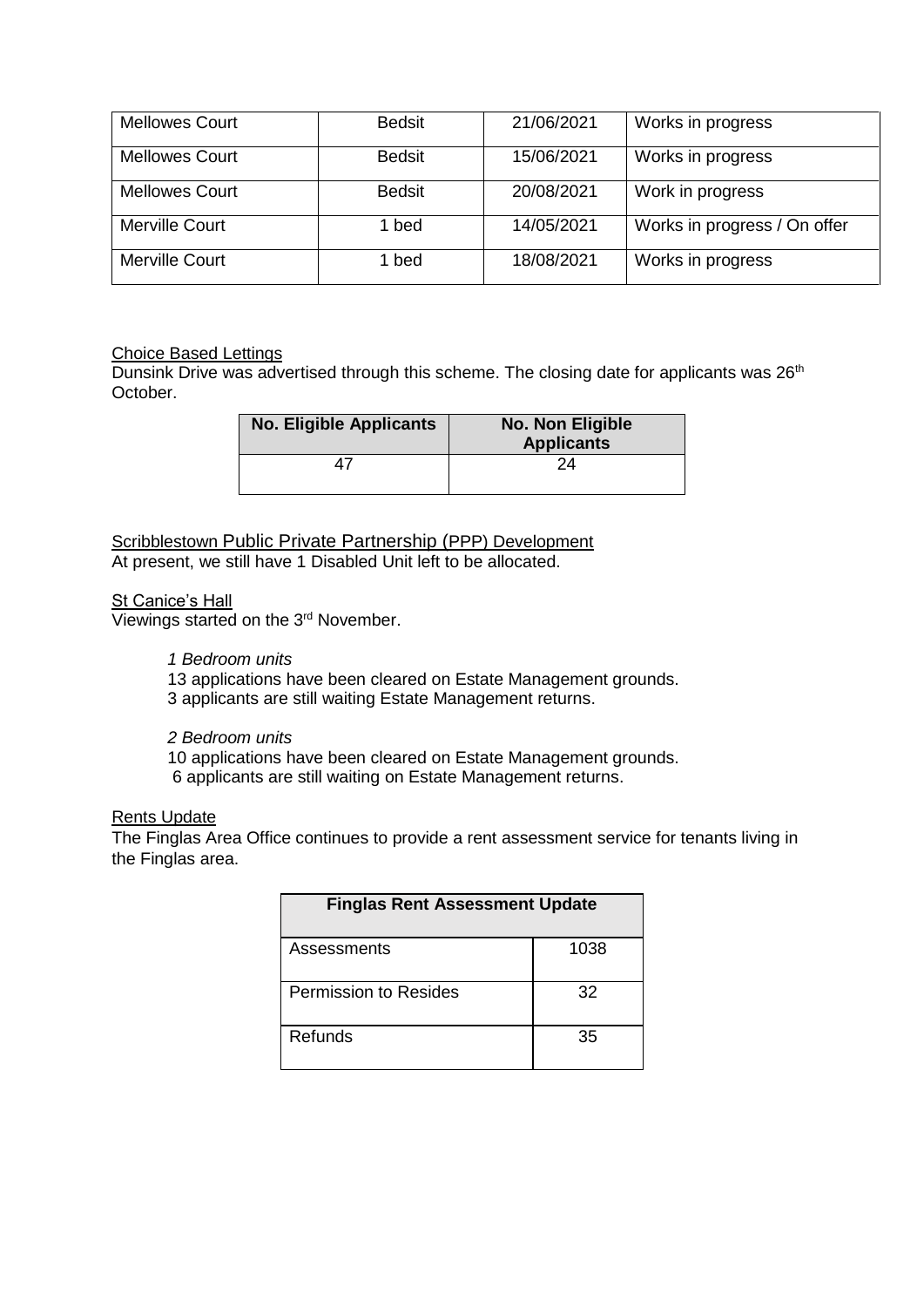| <b>Mellowes Court</b> | <b>Bedsit</b> | 21/06/2021 | Works in progress            |
|-----------------------|---------------|------------|------------------------------|
| <b>Mellowes Court</b> | <b>Bedsit</b> | 15/06/2021 | Works in progress            |
| <b>Mellowes Court</b> | <b>Bedsit</b> | 20/08/2021 | Work in progress             |
| <b>Merville Court</b> | l bed         | 14/05/2021 | Works in progress / On offer |
| <b>Merville Court</b> | ∣ bed         | 18/08/2021 | Works in progress            |

# Choice Based Lettings

Dunsink Drive was advertised through this scheme. The closing date for applicants was 26<sup>th</sup> October.

| <b>No. Eligible Applicants</b> | <b>No. Non Eligible</b><br><b>Applicants</b> |
|--------------------------------|----------------------------------------------|
|                                | 24                                           |

Scribblestown Public Private Partnership (PPP) Development At present, we still have 1 Disabled Unit left to be allocated.

# **St Canice's Hall**

Viewings started on the 3<sup>rd</sup> November.

# *1 Bedroom units*

13 applications have been cleared on Estate Management grounds.

3 applicants are still waiting Estate Management returns.

# *2 Bedroom units*

10 applications have been cleared on Estate Management grounds. 6 applicants are still waiting on Estate Management returns.

## Rents Update

The Finglas Area Office continues to provide a rent assessment service for tenants living in the Finglas area.

| <b>Finglas Rent Assessment Update</b> |      |  |
|---------------------------------------|------|--|
| Assessments                           | 1038 |  |
| <b>Permission to Resides</b>          | 32   |  |
| Refunds                               | 35   |  |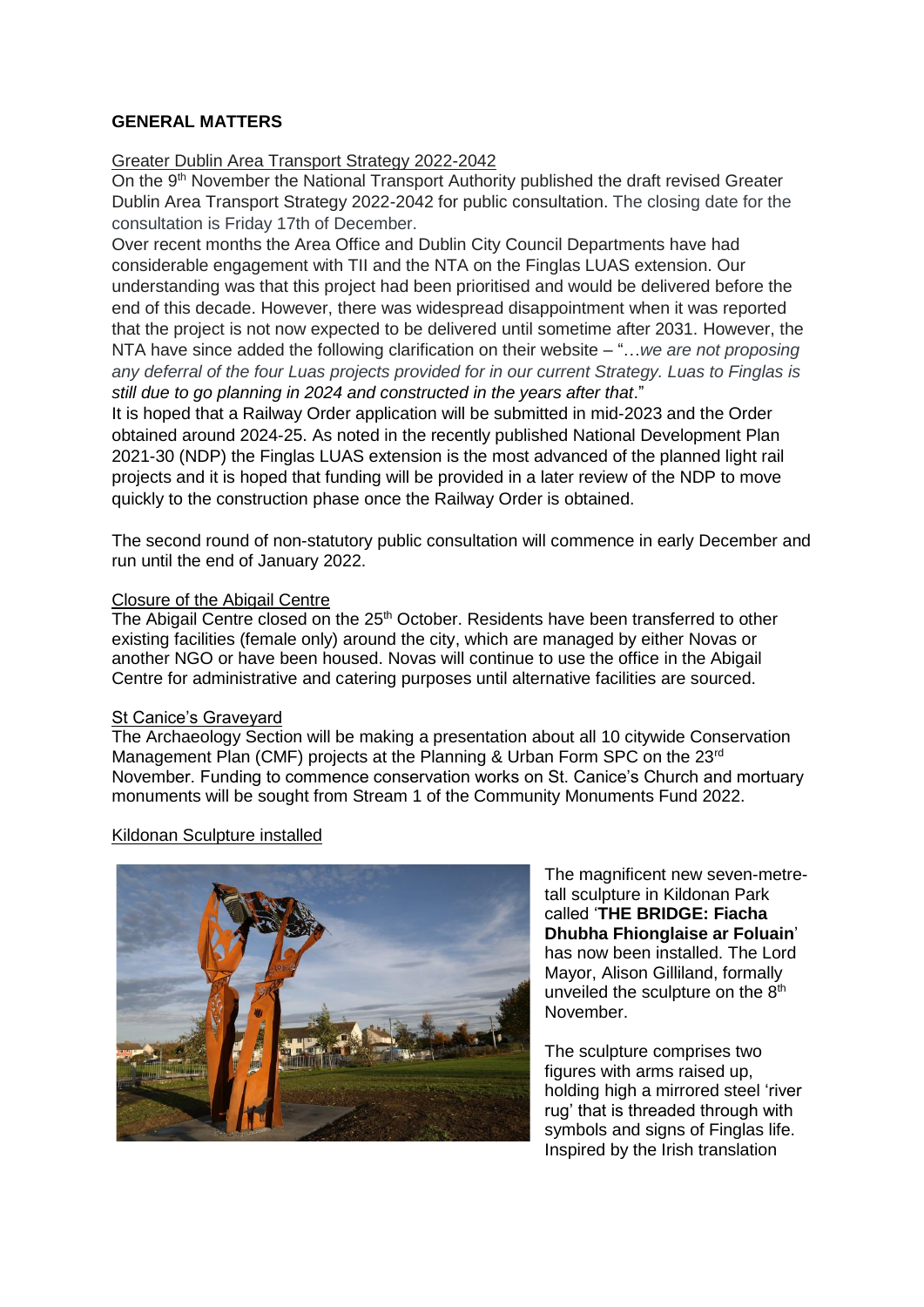# **GENERAL MATTERS**

# Greater Dublin Area Transport Strategy 2022-2042

On the 9<sup>th</sup> November the National Transport Authority published the draft revised Greater Dublin Area Transport Strategy 2022-2042 for public consultation. The closing date for the consultation is Friday 17th of December.

Over recent months the Area Office and Dublin City Council Departments have had considerable engagement with TII and the NTA on the Finglas LUAS extension. Our understanding was that this project had been prioritised and would be delivered before the end of this decade. However, there was widespread disappointment when it was reported that the project is not now expected to be delivered until sometime after 2031. However, the NTA have since added the following clarification on their website – "…*we are not proposing any deferral of the four Luas projects provided for in our current Strategy. Luas to Finglas is still due to go planning in 2024 and constructed in the years after that*."

It is hoped that a Railway Order application will be submitted in mid-2023 and the Order obtained around 2024-25. As noted in the recently published National Development Plan 2021-30 (NDP) the Finglas LUAS extension is the most advanced of the planned light rail projects and it is hoped that funding will be provided in a later review of the NDP to move quickly to the construction phase once the Railway Order is obtained.

The second round of non-statutory public consultation will commence in early December and run until the end of January 2022.

# Closure of the Abigail Centre

The Abigail Centre closed on the 25<sup>th</sup> October. Residents have been transferred to other existing facilities (female only) around the city, which are managed by either Novas or another NGO or have been housed. Novas will continue to use the office in the Abigail Centre for administrative and catering purposes until alternative facilities are sourced.

## St Canice's Graveyard

The Archaeology Section will be making a presentation about all 10 citywide Conservation Management Plan (CMF) projects at the Planning & Urban Form SPC on the 23<sup>rd</sup> November. Funding to commence conservation works on St. Canice's Church and mortuary monuments will be sought from Stream 1 of the Community Monuments Fund 2022.

## Kildonan Sculpture installed



The magnificent new seven-metretall sculpture in Kildonan Park called '**THE BRIDGE: Fiacha Dhubha Fhionglaise ar Foluain**' has now been installed. The Lord Mayor, Alison Gilliland, formally unveiled the sculpture on the  $8<sup>th</sup>$ November.

The sculpture comprises two figures with arms raised up, holding high a mirrored steel 'river rug' that is threaded through with symbols and signs of Finglas life. Inspired by the Irish translation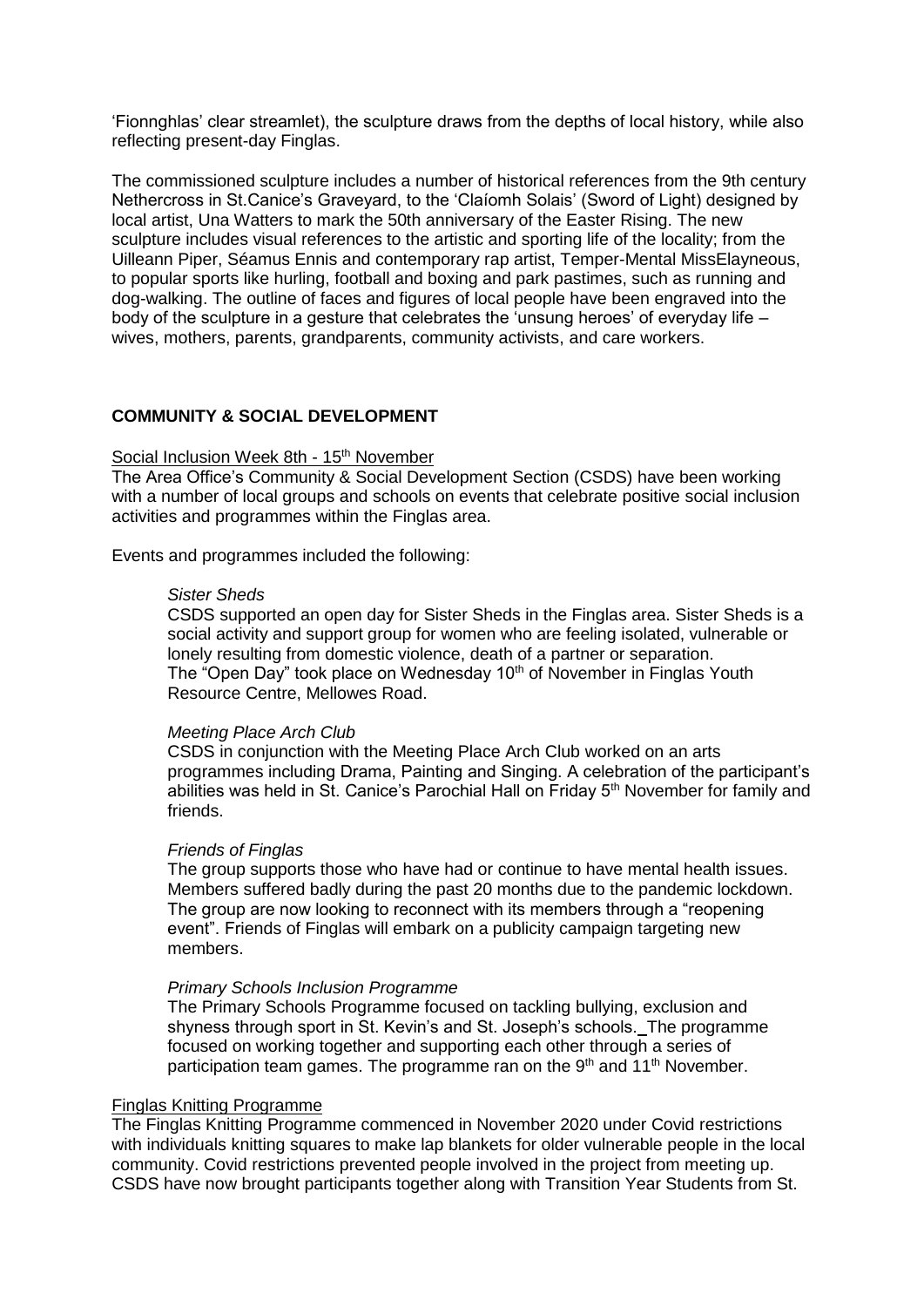'Fionnghlas' clear streamlet), the sculpture draws from the depths of local history, while also reflecting present-day Finglas.

The commissioned sculpture includes a number of historical references from the 9th century Nethercross in St.Canice's Graveyard, to the 'Claíomh Solais' (Sword of Light) designed by local artist, Una Watters to mark the 50th anniversary of the Easter Rising. The new sculpture includes visual references to the artistic and sporting life of the locality; from the Uilleann Piper, Séamus Ennis and contemporary rap artist, Temper-Mental MissElayneous, to popular sports like hurling, football and boxing and park pastimes, such as running and dog-walking. The outline of faces and figures of local people have been engraved into the body of the sculpture in a gesture that celebrates the 'unsung heroes' of everyday life – wives, mothers, parents, grandparents, community activists, and care workers.

# **COMMUNITY & SOCIAL DEVELOPMENT**

#### Social Inclusion Week 8th - 15<sup>th</sup> November

The Area Office's Community & Social Development Section (CSDS) have been working with a number of local groups and schools on events that celebrate positive social inclusion activities and programmes within the Finglas area.

Events and programmes included the following:

#### *Sister Sheds*

CSDS supported an open day for Sister Sheds in the Finglas area. Sister Sheds is a social activity and support group for women who are feeling isolated, vulnerable or lonely resulting from domestic violence, death of a partner or separation. The "Open Day" took place on Wednesday 10<sup>th</sup> of November in Finglas Youth Resource Centre, Mellowes Road.

#### *Meeting Place Arch Club*

CSDS in conjunction with the Meeting Place Arch Club worked on an arts programmes including Drama, Painting and Singing. A celebration of the participant's abilities was held in St. Canice's Parochial Hall on Friday 5<sup>th</sup> November for family and friends.

#### *Friends of Finglas*

The group supports those who have had or continue to have mental health issues. Members suffered badly during the past 20 months due to the pandemic lockdown. The group are now looking to reconnect with its members through a "reopening event". Friends of Finglas will embark on a publicity campaign targeting new members.

#### *Primary Schools Inclusion Programme*

The Primary Schools Programme focused on tackling bullying, exclusion and shyness through sport in St. Kevin's and St. Joseph's schools. The programme focused on working together and supporting each other through a series of participation team games. The programme ran on the 9<sup>th</sup> and 11<sup>th</sup> November.

#### Finglas Knitting Programme

The Finglas Knitting Programme commenced in November 2020 under Covid restrictions with individuals knitting squares to make lap blankets for older vulnerable people in the local community. Covid restrictions prevented people involved in the project from meeting up. CSDS have now brought participants together along with Transition Year Students from St.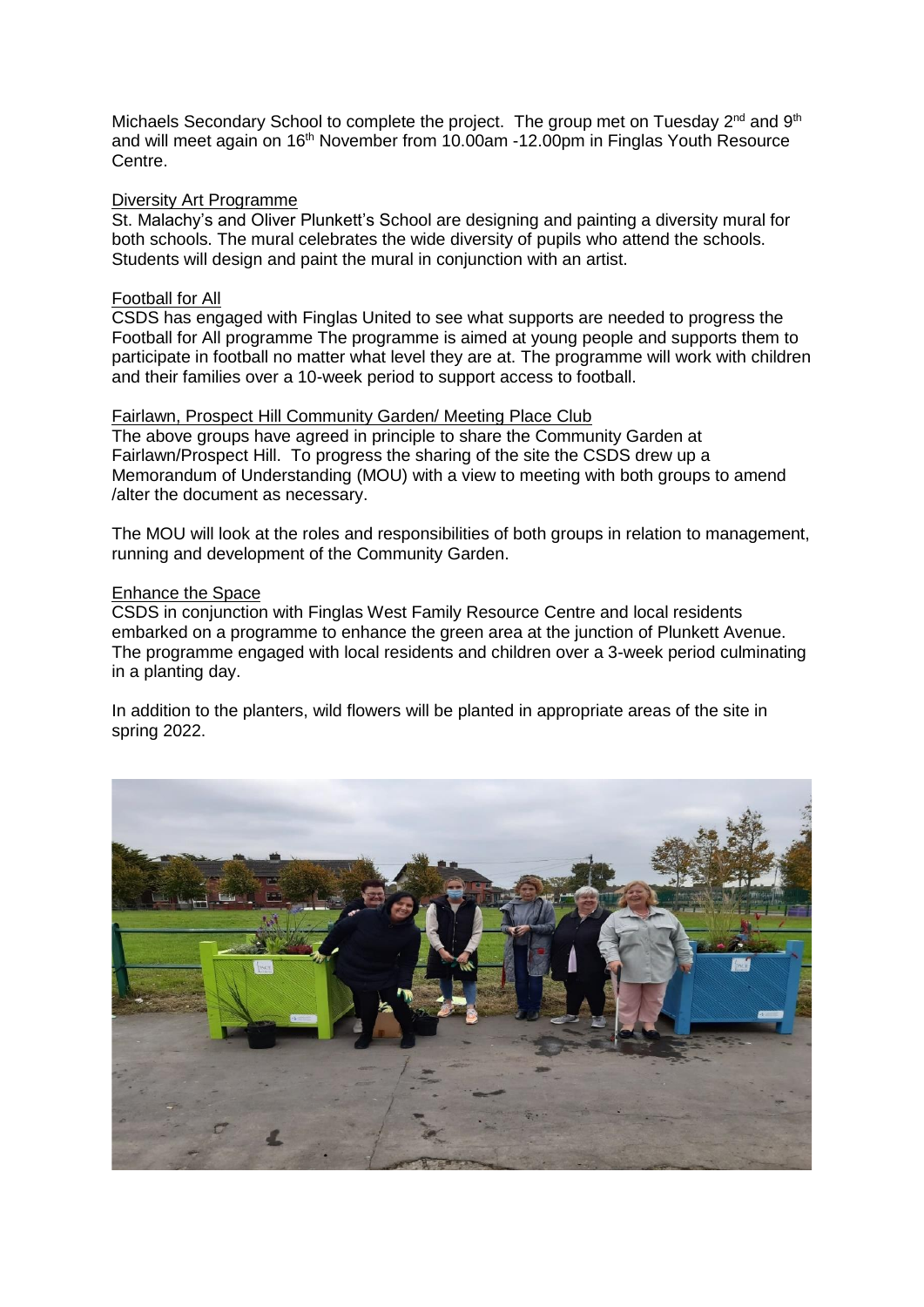Michaels Secondary School to complete the project. The group met on Tuesday 2<sup>nd</sup> and 9<sup>th</sup> and will meet again on 16<sup>th</sup> November from 10.00am -12.00pm in Finglas Youth Resource Centre.

## Diversity Art Programme

St. Malachy's and Oliver Plunkett's School are designing and painting a diversity mural for both schools. The mural celebrates the wide diversity of pupils who attend the schools. Students will design and paint the mural in conjunction with an artist.

# Football for All

CSDS has engaged with Finglas United to see what supports are needed to progress the Football for All programme The programme is aimed at young people and supports them to participate in football no matter what level they are at. The programme will work with children and their families over a 10-week period to support access to football.

## Fairlawn, Prospect Hill Community Garden/ Meeting Place Club

The above groups have agreed in principle to share the Community Garden at Fairlawn/Prospect Hill. To progress the sharing of the site the CSDS drew up a Memorandum of Understanding (MOU) with a view to meeting with both groups to amend /alter the document as necessary.

The MOU will look at the roles and responsibilities of both groups in relation to management, running and development of the Community Garden.

## Enhance the Space

CSDS in conjunction with Finglas West Family Resource Centre and local residents embarked on a programme to enhance the green area at the junction of Plunkett Avenue. The programme engaged with local residents and children over a 3-week period culminating in a planting day.

In addition to the planters, wild flowers will be planted in appropriate areas of the site in spring 2022.